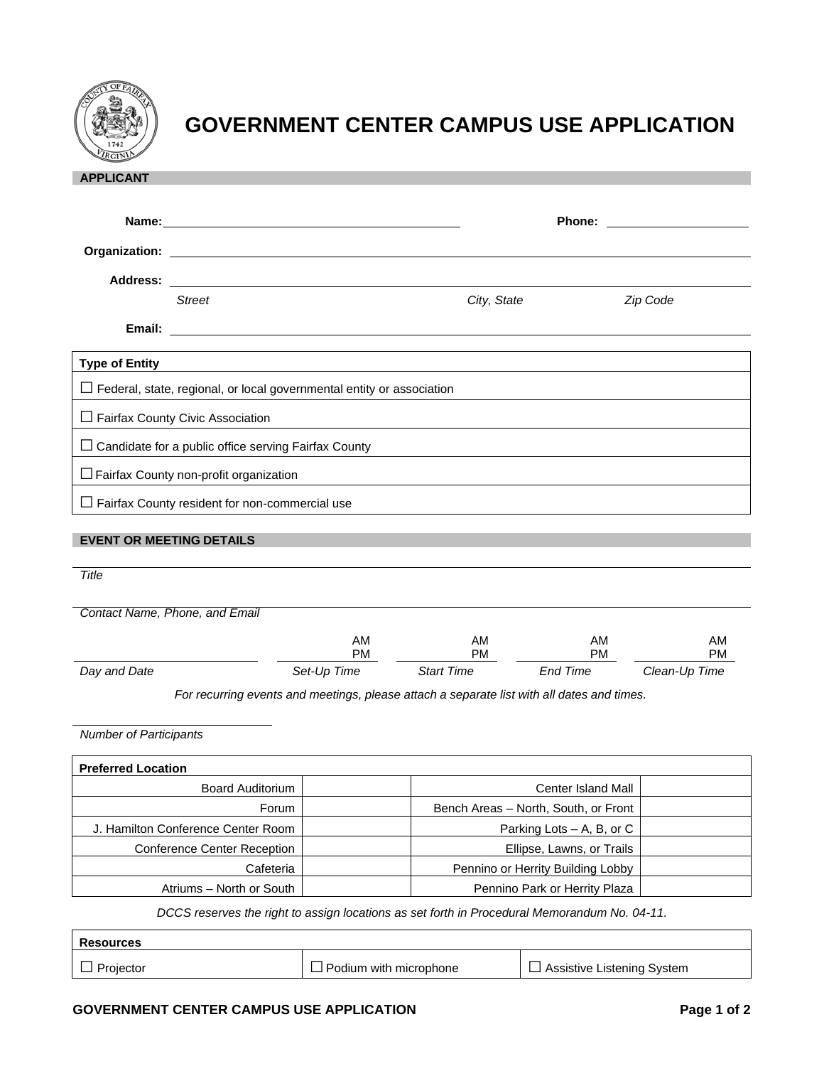

## **GOVERNMENT CENTER CAMPUS USE APPLICATION**

| <b>APPLICANT</b>                                                                           |                                                                                                                                                                                                                                     |                 |                                      |                 |                 |  |  |
|--------------------------------------------------------------------------------------------|-------------------------------------------------------------------------------------------------------------------------------------------------------------------------------------------------------------------------------------|-----------------|--------------------------------------|-----------------|-----------------|--|--|
|                                                                                            |                                                                                                                                                                                                                                     |                 |                                      |                 |                 |  |  |
|                                                                                            |                                                                                                                                                                                                                                     |                 |                                      | <b>Phone:</b>   |                 |  |  |
|                                                                                            |                                                                                                                                                                                                                                     |                 |                                      |                 |                 |  |  |
|                                                                                            |                                                                                                                                                                                                                                     |                 |                                      |                 |                 |  |  |
|                                                                                            | <b>Street</b>                                                                                                                                                                                                                       |                 | City, State                          |                 | Zip Code        |  |  |
|                                                                                            | <b>Email:</b> Email: The Contract of the Contract of the Contract of the Contract of the Contract of the Contract of the Contract of the Contract of the Contract of the Contract of the Contract of the Contract of the Contract o |                 |                                      |                 |                 |  |  |
| <b>Type of Entity</b>                                                                      |                                                                                                                                                                                                                                     |                 |                                      |                 |                 |  |  |
|                                                                                            |                                                                                                                                                                                                                                     |                 |                                      |                 |                 |  |  |
| $\Box$ Federal, state, regional, or local governmental entity or association               |                                                                                                                                                                                                                                     |                 |                                      |                 |                 |  |  |
| $\Box$ Fairfax County Civic Association                                                    |                                                                                                                                                                                                                                     |                 |                                      |                 |                 |  |  |
| $\Box$ Candidate for a public office serving Fairfax County                                |                                                                                                                                                                                                                                     |                 |                                      |                 |                 |  |  |
| $\Box$ Fairfax County non-profit organization                                              |                                                                                                                                                                                                                                     |                 |                                      |                 |                 |  |  |
|                                                                                            | $\Box$ Fairfax County resident for non-commercial use                                                                                                                                                                               |                 |                                      |                 |                 |  |  |
|                                                                                            |                                                                                                                                                                                                                                     |                 |                                      |                 |                 |  |  |
| <b>EVENT OR MEETING DETAILS</b>                                                            |                                                                                                                                                                                                                                     |                 |                                      |                 |                 |  |  |
| Title                                                                                      |                                                                                                                                                                                                                                     |                 |                                      |                 |                 |  |  |
|                                                                                            |                                                                                                                                                                                                                                     |                 |                                      |                 |                 |  |  |
|                                                                                            | Contact Name, Phone, and Email                                                                                                                                                                                                      |                 |                                      |                 |                 |  |  |
|                                                                                            |                                                                                                                                                                                                                                     | AM<br><b>PM</b> | AM<br><b>PM</b>                      | AM<br><b>PM</b> | AM<br><b>PM</b> |  |  |
| Day and Date                                                                               |                                                                                                                                                                                                                                     | Set-Up Time     | <b>Start Time</b>                    | End Time        | Clean-Up Time   |  |  |
| For recurring events and meetings, please attach a separate list with all dates and times. |                                                                                                                                                                                                                                     |                 |                                      |                 |                 |  |  |
|                                                                                            |                                                                                                                                                                                                                                     |                 |                                      |                 |                 |  |  |
| <b>Number of Participants</b>                                                              |                                                                                                                                                                                                                                     |                 |                                      |                 |                 |  |  |
|                                                                                            |                                                                                                                                                                                                                                     |                 |                                      |                 |                 |  |  |
| <b>Preferred Location</b>                                                                  |                                                                                                                                                                                                                                     |                 |                                      |                 |                 |  |  |
| <b>Board Auditorium</b>                                                                    |                                                                                                                                                                                                                                     |                 | Center Island Mall                   |                 |                 |  |  |
| Forum                                                                                      |                                                                                                                                                                                                                                     |                 | Bench Areas - North, South, or Front |                 |                 |  |  |
| J. Hamilton Conference Center Room                                                         |                                                                                                                                                                                                                                     |                 | Parking Lots - A, B, or C            |                 |                 |  |  |
| Conference Center Reception                                                                |                                                                                                                                                                                                                                     |                 | Ellipse, Lawns, or Trails            |                 |                 |  |  |

*DCCS reserves the right to assign locations as set forth in Procedural Memorandum No. 04-11.*

Atriums – North or South | Pennino Park or Herrity Plaza

Cafeteria | Pennino or Herrity Building Lobby

| <b>Resources</b> |                               |  |  |  |  |  |
|------------------|-------------------------------|--|--|--|--|--|
| $\Box$ Projector | $\Box$ Podium with microphone |  |  |  |  |  |

 $□$  Assistive Listening System